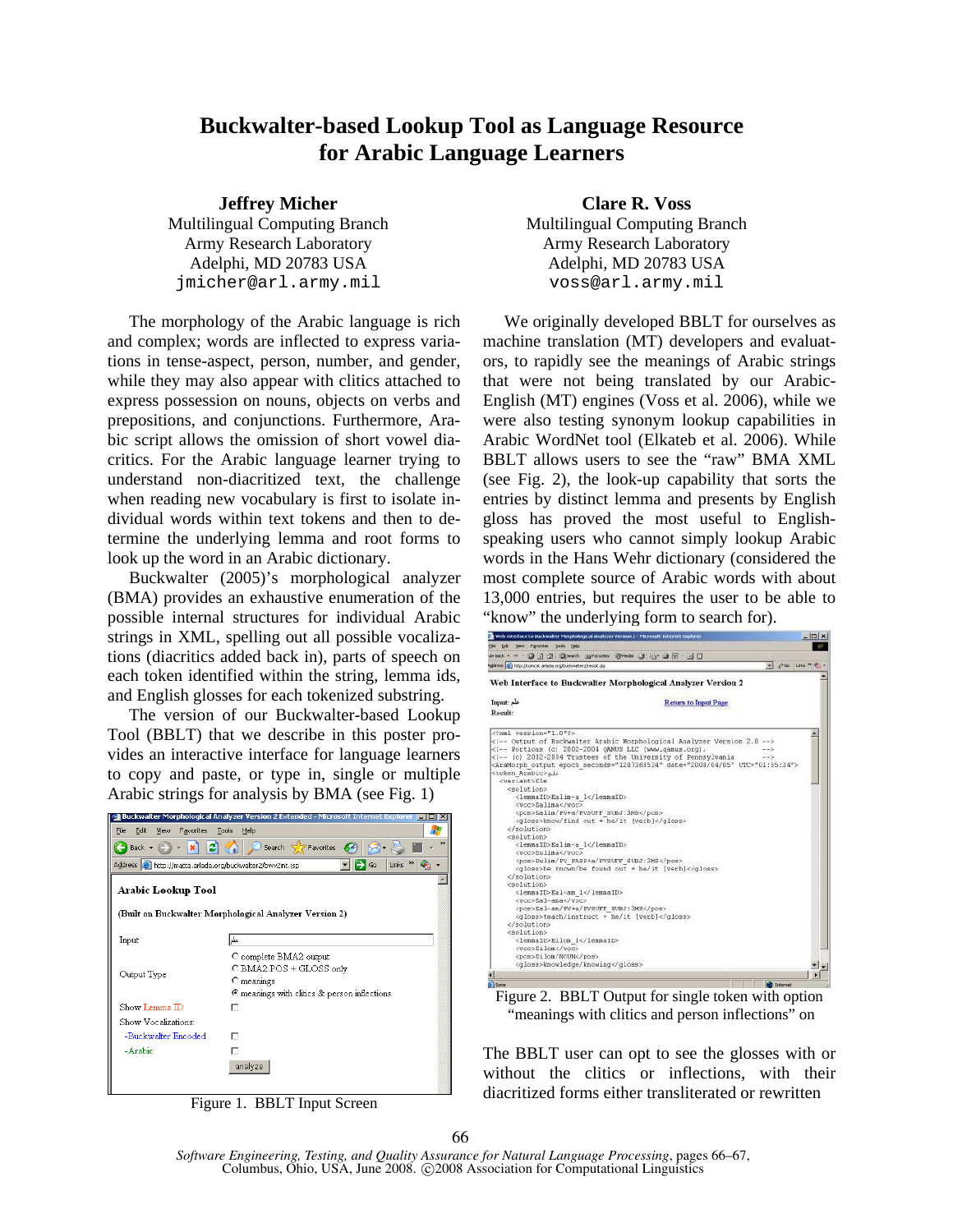## **Buckwalter-based Lookup Tool as Language Resource for Arabic Language Learners**

Army Research Laboratory **Army Research Laboratory** Adelphi, MD 20783 USA Adelphi, MD 20783 USA jmicher@arl.army.mil voss@arl.army.mil

 The morphology of the Arabic language is rich and complex; words are inflected to express variations in tense-aspect, person, number, and gender, while they may also appear with clitics attached to express possession on nouns, objects on verbs and prepositions, and conjunctions. Furthermore, Arabic script allows the omission of short vowel diacritics. For the Arabic language learner trying to understand non-diacritized text, the challenge when reading new vocabulary is first to isolate individual words within text tokens and then to determine the underlying lemma and root forms to look up the word in an Arabic dictionary.

 Buckwalter (2005)'s morphological analyzer (BMA) provides an exhaustive enumeration of the possible internal structures for individual Arabic strings in XML, spelling out all possible vocalizations (diacritics added back in), parts of speech on each token identified within the string, lemma ids, and English glosses for each tokenized substring.

 The version of our Buckwalter-based Lookup Tool (BBLT) that we describe in this poster provides an interactive interface for language learners to copy and paste, or type in, single or multiple Arabic strings for analysis by BMA (see Fig. 1)



Figure 1. BBLT Input Screen

**Jeffrey Micher Clare R. Voss** Multilingual Computing Branch Multilingual Computing Branch

> We originally developed BBLT for ourselves as machine translation (MT) developers and evaluators, to rapidly see the meanings of Arabic strings that were not being translated by our Arabic-English (MT) engines (Voss et al. 2006), while we were also testing synonym lookup capabilities in Arabic WordNet tool (Elkateb et al. 2006). While BBLT allows users to see the "raw" BMA XML (see Fig. 2), the look-up capability that sorts the entries by distinct lemma and presents by English gloss has proved the most useful to Englishspeaking users who cannot simply lookup Arabic words in the Hans Wehr dictionary (considered the most complete source of Arabic words with about 13,000 entries, but requires the user to be able to "know" the underlying form to search for).

| 3 Web Interface to Buckwalter Morphological Analyzer Version 2 - Microsoft Internet Explorer                                                                                                                                                                                                                                                                                                                                                                                                                                                                                                                                                                                                                                                                                                                                                                                             |                                                                                                         | $ \Box$ x |
|------------------------------------------------------------------------------------------------------------------------------------------------------------------------------------------------------------------------------------------------------------------------------------------------------------------------------------------------------------------------------------------------------------------------------------------------------------------------------------------------------------------------------------------------------------------------------------------------------------------------------------------------------------------------------------------------------------------------------------------------------------------------------------------------------------------------------------------------------------------------------------------|---------------------------------------------------------------------------------------------------------|-----------|
| the tide your Favorites Tools their                                                                                                                                                                                                                                                                                                                                                                                                                                                                                                                                                                                                                                                                                                                                                                                                                                                      |                                                                                                         |           |
| Jebst - - 0 3 4 0 kerth Liferates Steels 3 3-3 = 10                                                                                                                                                                                                                                                                                                                                                                                                                                                                                                                                                                                                                                                                                                                                                                                                                                      |                                                                                                         |           |
| Address (b) Ntp://honcet.arlada.org/budsaster2/result.jsp                                                                                                                                                                                                                                                                                                                                                                                                                                                                                                                                                                                                                                                                                                                                                                                                                                | $    +$ $+$ $+$ $ +$                                                                                    |           |
| Web Interface to Buckwalter Morphological Analyzer Version 2                                                                                                                                                                                                                                                                                                                                                                                                                                                                                                                                                                                                                                                                                                                                                                                                                             |                                                                                                         |           |
| Input: de                                                                                                                                                                                                                                                                                                                                                                                                                                                                                                                                                                                                                                                                                                                                                                                                                                                                                | <b>Return to Input Page</b>                                                                             |           |
| Result:                                                                                                                                                                                                                                                                                                                                                                                                                                                                                                                                                                                                                                                                                                                                                                                                                                                                                  |                                                                                                         |           |
| xml version="1.0"?                                                                                                                                                                                                                                                                                                                                                                                                                                                                                                                                                                                                                                                                                                                                                                                                                                                                       |                                                                                                         |           |
| <1 -- Portions (c) 2002-2004 QAMUS LLC (www.gamus.org),<br><1 -- (c) 2002-2004 Trustees of the University of Pennsylvania<br><token arabic="">ala<br/><variant>Elm<br/><solution><br/><lennaid>Ealin-a 1</lennaid><br/><voc>Ealima</voc><br/><pos>Ealin/PV+a/PVSUFF SUBJ:3MS</pos><br/><aloss>know/find out + he/it (verb)</aloss><br/></solution><br/><solution><br/><lennaid>Ealin-a 1</lennaid><br/><voc>Eulina</voc><br/><pos>Eulin/PV PASS+n/PVSUFF SUBJ:3MS</pos><br/><gloss>be known/be found out + he/it [verb]</gloss><br/></solution><br/>csolution&gt;<br/><lennaid>Eal-am 1</lennaid><br/><voc>Eal~ama</voc><br/><pos>Eal-am/PV+a/PVSUFF SUBJ:3MS</pos><br/><gloss>teach/instruct + he/it [verb]</gloss><br/><br/><solution><br/><lemnaid>Eilon 1</lemnaid><br/><voc>Eilon</voc><br/><pos>Eilom/NOUN</pos><br/><gloss>knowledge/knowing</gloss></solution></variant></token> | $-35$<br><aramorph date="2008/04/05" epoch="" output="" seconds="1207360534" utc="01:55:34"></aramorph> |           |
|                                                                                                                                                                                                                                                                                                                                                                                                                                                                                                                                                                                                                                                                                                                                                                                                                                                                                          |                                                                                                         |           |
|                                                                                                                                                                                                                                                                                                                                                                                                                                                                                                                                                                                                                                                                                                                                                                                                                                                                                          |                                                                                                         |           |



The BBLT user can opt to see the glosses with or without the clitics or inflections, with their diacritized forms either transliterated or rewritten

*Software Engineering, Testing, and Quality Assurance for Natural Language Processing*, pages 66–67, Columbus, Ohio, USA, June 2008. C 2008 Association for Computational Linguistics